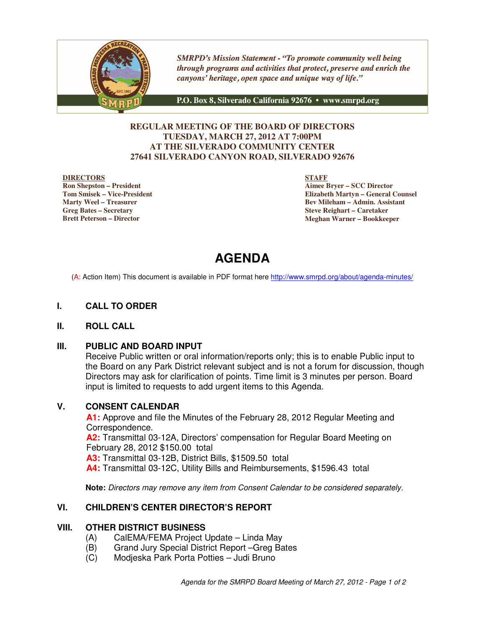

**SMRPD's Mission Statement - "To promote community well being** through programs and activities that protect, preserve and enrich the canyons' heritage, open space and unique way of life."

P.O. Box 8, Silverado California 92676 · www.smrpd.org

# **REGULAR MEETING OF THE BOARD OF DIRECTORS TUESDAY, MARCH 27, 2012 AT 7:00PM AT THE SILVERADO COMMUNITY CENTER 27641 SILVERADO CANYON ROAD, SILVERADO 92676**

#### **DIRECTORS**

**Ron Shepston – President Tom Smisek – Vice-President Marty Weel – Treasurer Greg Bates – Secretary Brett Peterson – Director**

**STAFF**

**Aimee Bryer – SCC Director Elizabeth Martyn – General Counsel Bev Mileham – Admin. Assistant Steve Reighart – Caretaker Meghan Warner – Bookkeeper**

# **AGENDA**

(A: Action Item) This document is available in PDF format here http://www.smrpd.org/about/agenda-minutes/

# **I. CALL TO ORDER**

#### **II. ROLL CALL**

#### **III. PUBLIC AND BOARD INPUT**

Receive Public written or oral information/reports only; this is to enable Public input to the Board on any Park District relevant subject and is not a forum for discussion, though Directors may ask for clarification of points. Time limit is 3 minutes per person. Board input is limited to requests to add urgent items to this Agenda.

# **V. CONSENT CALENDAR**

**A1:** Approve and file the Minutes of the February 28, 2012 Regular Meeting and Correspondence. **A2:** Transmittal 03-12A, Directors' compensation for Regular Board Meeting on February 28, 2012 \$150.00 total **A3:** Transmittal 03-12B, District Bills, \$1509.50 total **A4:** Transmittal 03-12C, Utility Bills and Reimbursements, \$1596.43 total

**Note:** Directors may remove any item from Consent Calendar to be considered separately.

# **VI. CHILDREN'S CENTER DIRECTOR'S REPORT**

### **VIII. OTHER DISTRICT BUSINESS**

- (A) CalEMA/FEMA Project Update Linda May
- (B) Grand Jury Special District Report –Greg Bates
- (C) Modjeska Park Porta Potties Judi Bruno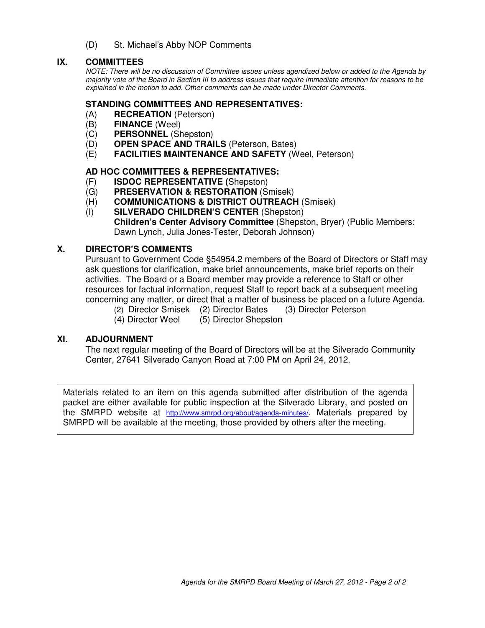(D) St. Michael's Abby NOP Comments

# **IX. COMMITTEES**

NOTE: There will be no discussion of Committee issues unless agendized below or added to the Agenda by majority vote of the Board in Section III to address issues that require immediate attention for reasons to be explained in the motion to add. Other comments can be made under Director Comments.

## **STANDING COMMITTEES AND REPRESENTATIVES:**

- (A) **RECREATION** (Peterson)
- (B) **FINANCE** (Weel)
- (C) **PERSONNEL** (Shepston)
- (D) **OPEN SPACE AND TRAILS** (Peterson, Bates)
- (E) **FACILITIES MAINTENANCE AND SAFETY** (Weel, Peterson)

# **AD HOC COMMITTEES & REPRESENTATIVES:**

- (F) **ISDOC REPRESENTATIVE (**Shepston)
- (G) **PRESERVATION & RESTORATION** (Smisek)
- (H) **COMMUNICATIONS & DISTRICT OUTREACH** (Smisek)
- (I) **SILVERADO CHILDREN'S CENTER** (Shepston) **Children's Center Advisory Committee** (Shepston, Bryer) (Public Members: Dawn Lynch, Julia Jones-Tester, Deborah Johnson)

# **X. DIRECTOR'S COMMENTS**

Pursuant to Government Code §54954.2 members of the Board of Directors or Staff may ask questions for clarification, make brief announcements, make brief reports on their activities. The Board or a Board member may provide a reference to Staff or other resources for factual information, request Staff to report back at a subsequent meeting concerning any matter, or direct that a matter of business be placed on a future Agenda.

- (2) Director Smisek (2) Director Bates (3) Director Peterson
- (4) Director Weel (5) Director Shepston

# **XI. ADJOURNMENT**

The next regular meeting of the Board of Directors will be at the Silverado Community Center, 27641 Silverado Canyon Road at 7:00 PM on April 24, 2012.

Materials related to an item on this agenda submitted after distribution of the agenda packet are either available for public inspection at the Silverado Library, and posted on the SMRPD website at http://www.smrpd.org/about/agenda-minutes/. Materials prepared by SMRPD will be available at the meeting, those provided by others after the meeting.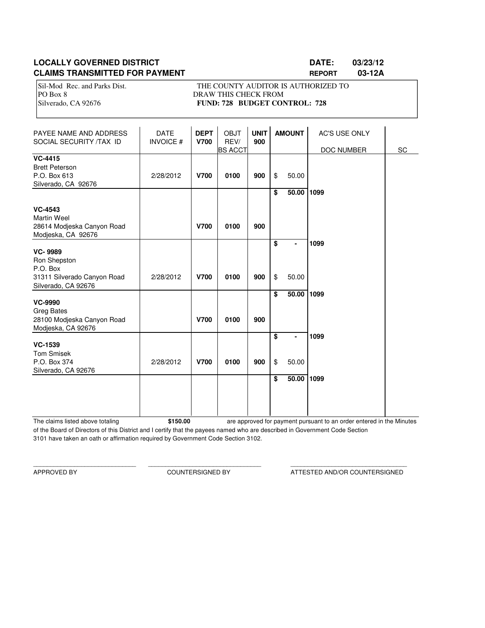# **LOCALLY GOVERNED DISTRICT LATE: 03/23/12 CLAIMS TRANSMITTED FOR PAYMENT REPORT 03-12A**

Sil-Mod Rec. and Parks Dist. THE COUNTY AUDITOR IS AUTHORIZED TO PO Box 8 DRAW THIS CHECK FROM Silverado, CA 92676 **FUND: 728 BUDGET CONTROL: 728** 

| PAYEE NAME AND ADDRESS<br>SOCIAL SECURITY /TAX ID                                                | <b>DATE</b><br><b>INVOICE#</b> | <b>DEPT</b><br><b>V700</b> | <b>OBJT</b><br>REV/<br><b>BS ACCT</b> | <b>UNIT</b><br>900 | <b>AMOUNT</b> |            | <b>AC'S USE ONLY</b><br>DOC NUMBER | SC |
|--------------------------------------------------------------------------------------------------|--------------------------------|----------------------------|---------------------------------------|--------------------|---------------|------------|------------------------------------|----|
| <b>VC-4415</b><br><b>Brett Peterson</b><br>P.O. Box 613<br>Silverado, CA 92676                   | 2/28/2012                      | <b>V700</b>                | 0100                                  | 900                | \$            | 50.00      |                                    |    |
| <b>VC-4543</b><br><b>Martin Weel</b><br>28614 Modjeska Canyon Road<br>Modjeska, CA 92676         |                                | <b>V700</b>                | 0100                                  | 900                | \$            | 50.00 1099 |                                    |    |
| <b>VC-9989</b><br>Ron Shepston<br>P.O. Box<br>31311 Silverado Canyon Road<br>Silverado, CA 92676 | 2/28/2012                      | <b>V700</b>                | 0100                                  | 900                | \$<br>\$      | 50.00      | 1099                               |    |
| <b>VC-9990</b><br><b>Greg Bates</b><br>28100 Modjeska Canyon Road<br>Modjeska, CA 92676          |                                | <b>V700</b>                | 0100                                  | 900                | \$            | 50.00 1099 |                                    |    |
| <b>VC-1539</b><br><b>Tom Smisek</b><br>P.O. Box 374<br>Silverado, CA 92676                       | 2/28/2012                      | <b>V700</b>                | 0100                                  | 900                | \$<br>\$      | 50.00      | 1099                               |    |
|                                                                                                  |                                |                            |                                       |                    | \$            | 50.00      | 1099                               |    |

The claims listed above totaling **\$150.00** of the Board of Directors of this District and I certify that the payees named who are described in Government Code Section 3101 have taken an oath or affirmation required by Government Code Section 3102. are approved for payment pursuant to an order entered in the Minutes

\_\_\_\_\_\_\_\_\_\_\_\_\_\_\_\_\_\_\_\_\_\_\_\_\_\_\_\_\_\_ \_\_\_\_\_\_\_\_\_\_\_\_\_\_\_\_\_\_\_\_\_\_\_\_\_\_\_\_\_\_\_\_\_ \_\_\_\_\_\_\_\_\_\_\_\_\_\_\_\_\_\_\_\_\_\_\_\_\_\_\_\_\_\_\_\_\_\_

APPROVED BY COUNTERSIGNED BY ATTESTED AND/OR COUNTERSIGNED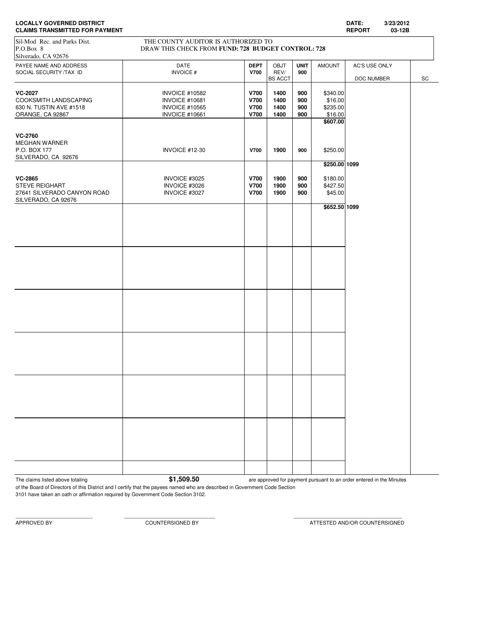| <b>CLAIMS TRANSMITTED FOR PAYMENT</b>             |                                                                                           |                            |                |                    |               | <b>REPORT</b> | 03-12B |    |
|---------------------------------------------------|-------------------------------------------------------------------------------------------|----------------------------|----------------|--------------------|---------------|---------------|--------|----|
| Sil-Mod Rec. and Parks Dist.<br>P.O.Box 8         | THE COUNTY AUDITOR IS AUTHORIZED TO<br>DRAW THIS CHECK FROM FUND: 728 BUDGET CONTROL: 728 |                            |                |                    |               |               |        |    |
| Silverado, CA 92676                               |                                                                                           |                            |                |                    |               |               |        |    |
| PAYEE NAME AND ADDRESS<br>SOCIAL SECURITY /TAX ID | DATE<br><b>INVOICE#</b>                                                                   | <b>DEPT</b><br><b>V700</b> | OBJT<br>REV/   | <b>UNIT</b><br>900 | <b>AMOUNT</b> | AC'S USE ONLY |        |    |
|                                                   |                                                                                           |                            | <b>BS ACCT</b> |                    |               | DOC NUMBER    |        | SC |
|                                                   |                                                                                           |                            |                |                    |               |               |        |    |
| <b>VC-2027</b>                                    | <b>INVOICE #10582</b>                                                                     | <b>V700</b>                | 1400           | 900                | \$340.00      |               |        |    |
| COOKSMITH LANDSCAPING                             | <b>INVOICE #10681</b>                                                                     | <b>V700</b>                | 1400           | 900                | \$16.00       |               |        |    |
| 630 N. TUSTIN AVE #1518                           | <b>INVOICE #10565</b>                                                                     | <b>V700</b>                | 1400           | 900                | \$235.00      |               |        |    |
|                                                   |                                                                                           |                            |                |                    |               |               |        |    |
| ORANGE, CA 92867                                  | <b>INVOICE #10661</b>                                                                     | <b>V700</b>                | 1400           | 900                | \$16.00       |               |        |    |
|                                                   |                                                                                           |                            |                |                    | \$607.00      |               |        |    |
|                                                   |                                                                                           |                            |                |                    |               |               |        |    |
| <b>VC-2760</b>                                    |                                                                                           |                            |                |                    |               |               |        |    |
| MEGHAN WARNER                                     |                                                                                           |                            |                |                    |               |               |        |    |
| P.O. BOX 177                                      | INVOICE #12-30                                                                            | <b>V700</b>                | 1900           | 900                | \$250.00      |               |        |    |
|                                                   |                                                                                           |                            |                |                    |               |               |        |    |
| SILVERADO, CA 92676                               |                                                                                           |                            |                |                    |               |               |        |    |
|                                                   |                                                                                           |                            |                |                    | \$250.00 1099 |               |        |    |
|                                                   |                                                                                           |                            |                |                    |               |               |        |    |
| VC-2865                                           | INVOICE #3025                                                                             | <b>V700</b>                | 1900           | 900                | \$180.00      |               |        |    |
| <b>STEVE REIGHART</b>                             | INVOICE #3026                                                                             | <b>V700</b>                | 1900           | 900                | \$427.50      |               |        |    |
| 27641 SILVERADO CANYON ROAD                       | INVOICE #3027                                                                             | <b>V700</b>                | 1900           | 900                | \$45.00       |               |        |    |
| SILVERADO, CA 92676                               |                                                                                           |                            |                |                    |               |               |        |    |
|                                                   |                                                                                           |                            |                |                    |               |               |        |    |
|                                                   |                                                                                           |                            |                |                    | \$652.50 1099 |               |        |    |
|                                                   |                                                                                           |                            |                |                    |               |               |        |    |
|                                                   |                                                                                           |                            |                |                    |               |               |        |    |
|                                                   |                                                                                           |                            |                |                    |               |               |        |    |
|                                                   |                                                                                           |                            |                |                    |               |               |        |    |
|                                                   |                                                                                           |                            |                |                    |               |               |        |    |
|                                                   |                                                                                           |                            |                |                    |               |               |        |    |
|                                                   |                                                                                           |                            |                |                    |               |               |        |    |
|                                                   |                                                                                           |                            |                |                    |               |               |        |    |
|                                                   |                                                                                           |                            |                |                    |               |               |        |    |
|                                                   |                                                                                           |                            |                |                    |               |               |        |    |
|                                                   |                                                                                           |                            |                |                    |               |               |        |    |
|                                                   |                                                                                           |                            |                |                    |               |               |        |    |
|                                                   |                                                                                           |                            |                |                    |               |               |        |    |
|                                                   |                                                                                           |                            |                |                    |               |               |        |    |
|                                                   |                                                                                           |                            |                |                    |               |               |        |    |
|                                                   |                                                                                           |                            |                |                    |               |               |        |    |
|                                                   |                                                                                           |                            |                |                    |               |               |        |    |
|                                                   |                                                                                           |                            |                |                    |               |               |        |    |
|                                                   |                                                                                           |                            |                |                    |               |               |        |    |
|                                                   |                                                                                           |                            |                |                    |               |               |        |    |
|                                                   |                                                                                           |                            |                |                    |               |               |        |    |
|                                                   |                                                                                           |                            |                |                    |               |               |        |    |
|                                                   |                                                                                           |                            |                |                    |               |               |        |    |
|                                                   |                                                                                           |                            |                |                    |               |               |        |    |
|                                                   |                                                                                           |                            |                |                    |               |               |        |    |
|                                                   |                                                                                           |                            |                |                    |               |               |        |    |
|                                                   |                                                                                           |                            |                |                    |               |               |        |    |
|                                                   |                                                                                           |                            |                |                    |               |               |        |    |
|                                                   |                                                                                           |                            |                |                    |               |               |        |    |
|                                                   |                                                                                           |                            |                |                    |               |               |        |    |
|                                                   |                                                                                           |                            |                |                    |               |               |        |    |
|                                                   |                                                                                           |                            |                |                    |               |               |        |    |
|                                                   |                                                                                           |                            |                |                    |               |               |        |    |
|                                                   |                                                                                           |                            |                |                    |               |               |        |    |
|                                                   |                                                                                           |                            |                |                    |               |               |        |    |
|                                                   |                                                                                           |                            |                |                    |               |               |        |    |
|                                                   |                                                                                           |                            |                |                    |               |               |        |    |
|                                                   |                                                                                           |                            |                |                    |               |               |        |    |
|                                                   |                                                                                           |                            |                |                    |               |               |        |    |
|                                                   |                                                                                           |                            |                |                    |               |               |        |    |
|                                                   |                                                                                           |                            |                |                    |               |               |        |    |
|                                                   |                                                                                           |                            |                |                    |               |               |        |    |

# **LOCALLY GOVERNED DISTRICT DATE: 3/23/2012**

The claims listed above totaling **by a strategies of the S1,509.50** are approved for payment pursuant to an order entered in the Minutes

of the Board of Directors of this District and I certify that the payees named who are described in Government Code Section 3101 have taken an oath or affirmation required by Government Code Section 3102.

APPROVED BY COUNTERSIGNED BY ATTESTED AND/OR COUNTERSIGNED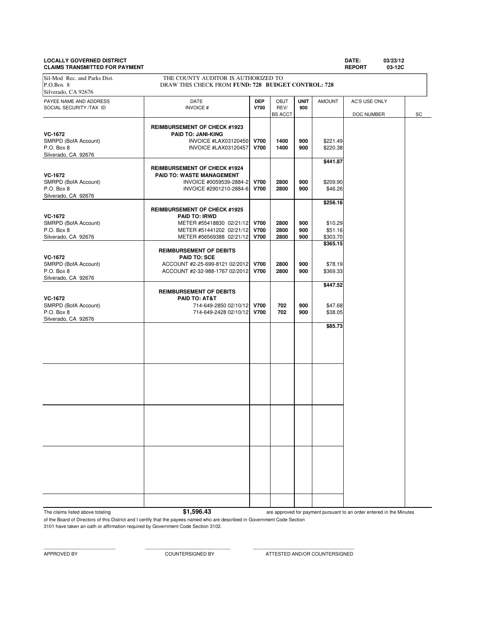# **LOCALLY GOVERNED DISTRICT DATE: 03/23/12**

**CLAIMS TRANSMITTED FOR PAYMENT REPORT 03-12C** PAYEE NAME AND ADDRESS **DATE DEP** OBJT **UNIT** AMOUNT AC'S USE ONLY SOCIAL SECURITY /TAX ID **INVOICE # V700** REV/ **900 REV/ 900 BS** ACCT DOC NUMBER SC **REIMBURSEMENT OF CHECK #1923 VC-1672**<br> **PAID TO: JANI-KING**<br>
INVOICE #LAX03120450 SMRPD (BofA Account) **INVOICE #LAX03120450 V700 1400 900** \$221.49<br>P.O. Box 8 **INVOICE #LAX03120457 V700 1400 900** \$220.38 P.O. Box 8 **INVOICE #LAX03120457 V700** 1400 900 Silverado, CA 92676 **\$441.87 REIMBURSEMENT OF CHECK #1924 VC-1672 PAID TO: WASTE MANAGEMENT**<br>SMRPD (BofA Account) **PAID TO: WASTE MANAGEMENT** SMRPD (BofA Account) **INVOICE #0059539-2884-2 V700** 2800 900 \$209.90<br>P.O. Box 8 **Discussed Bullet Account** DVOICE #2901210-2884-6 **V700** 2800 900 \$46.26 P.O. Box 8 INVOICE #2901210-2884-6 **V700 2800 900** \$46.26 Silverado, CA 92676 **\$256.16 REIMBURSEMENT OF CHECK #1925 VC-1672 PAID TO: IRWD** SMRPD (BofA Account) **METER #55418830 02/21/12 V700 2800 900** \$10.29<br>P.O. Box 8 **METER #51441202 02/21/12 V700 2800 900** \$51.16 P.O. Box 8 METER #51441202 02/21/12 **V700 2800 900 \$51.16**<br>Silverado, CA 92676 METER #56569388 02/21/12 **V700 2800 900** \$303.70 METER #56569388 02/21/12 **\$365.15 REIMBURSEMENT OF DEBITS VC-1672 PAID TO: SCE** SMRPD (BofA Account) <br>P.O. Box 8 ACCOUNT #2-32-988-1767 02/2012 **V700 2800 900** \$369.33 ACCOUNT #2-32-988-1767 02/2012 **V700 2800 900** Silverado, CA 92676 **\$447.52 REIMBURSEMENT OF DEBITS VC-1672 PAID TO: AT&T** SMRPD (BofA Account) 2000 114-649-2850 02/10/12 **700 702 900** \$47.68<br>P.O. Box 8 900 538.05 P.O. Box 8 714-649-2428 02/10/12 **V700 702 900** \$38.05 Silverado, CA 92676 **\$85.73** Sil-Mod Rec. and Parks Dist. THE COUNTY AUDITOR IS AUTHORIZED TO P.O.Box 8 DRAW THIS CHECK FROM **FUND: 728 BUDGET CONTROL: 728** Silverado, CA 92676

The claims listed above totaling **\$1,596.43** 

are approved for payment pursuant to an order entered in the Minutes

of the Board of Directors of this District and I certify that the payees named who are described in Government Code Section 3101 have taken an oath or affirmation required by Government Code Section 3102.

APPROVED BY COUNTERSIGNED BY ATTESTED AND/OR COUNTERSIGNED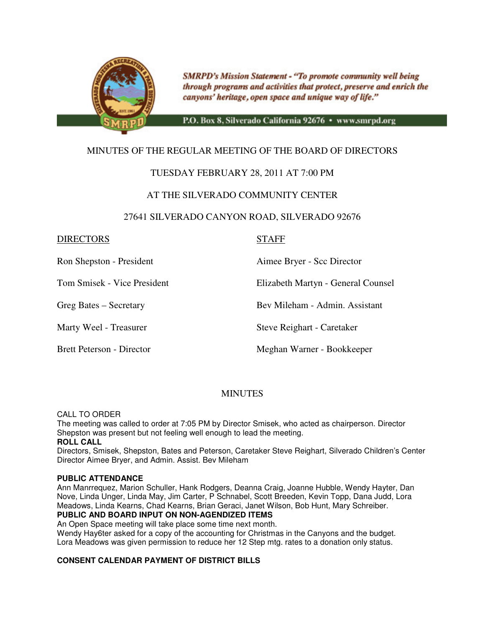

**SMRPD's Mission Statement - "To promote community well being** through programs and activities that protect, preserve and enrich the canyons' heritage, open space and unique way of life."

P.O. Box 8, Silverado California 92676 · www.smrpd.org

# MINUTES OF THE REGULAR MEETING OF THE BOARD OF DIRECTORS

# TUESDAY FEBRUARY 28, 2011 AT 7:00 PM

# AT THE SILVERADO COMMUNITY CENTER

# 27641 SILVERADO CANYON ROAD, SILVERADO 92676

# DIRECTORS STAFF

Ron Shepston - President Aimee Bryer - Scc Director

Tom Smisek - Vice President Elizabeth Martyn - General Counsel

Greg Bates – Secretary Bev Mileham - Admin. Assistant

Marty Weel - Treasurer Steve Reighart - Caretaker

Brett Peterson - Director **Meghan Warner - Bookkeeper** 

# **MINUTES**

#### CALL TO ORDER

The meeting was called to order at 7:05 PM by Director Smisek, who acted as chairperson. Director Shepston was present but not feeling well enough to lead the meeting.

#### **ROLL CALL**

Directors, Smisek, Shepston, Bates and Peterson, Caretaker Steve Reighart, Silverado Children's Center Director Aimee Bryer, and Admin. Assist. Bev Mileham

#### **PUBLIC ATTENDANCE**

Ann Manrrequez, Marion Schuller, Hank Rodgers, Deanna Craig, Joanne Hubble, Wendy Hayter, Dan Nove, Linda Unger, Linda May, Jim Carter, P Schnabel, Scott Breeden, Kevin Topp, Dana Judd, Lora Meadows, Linda Kearns, Chad Kearns, Brian Geraci, Janet Wilson, Bob Hunt, Mary Schreiber. **PUBLIC AND BOARD INPUT ON NON-AGENDIZED ITEMS** 

An Open Space meeting will take place some time next month.

Wendy Hay6ter asked for a copy of the accounting for Christmas in the Canyons and the budget. Lora Meadows was given permission to reduce her 12 Step mtg. rates to a donation only status.

# **CONSENT CALENDAR PAYMENT OF DISTRICT BILLS**